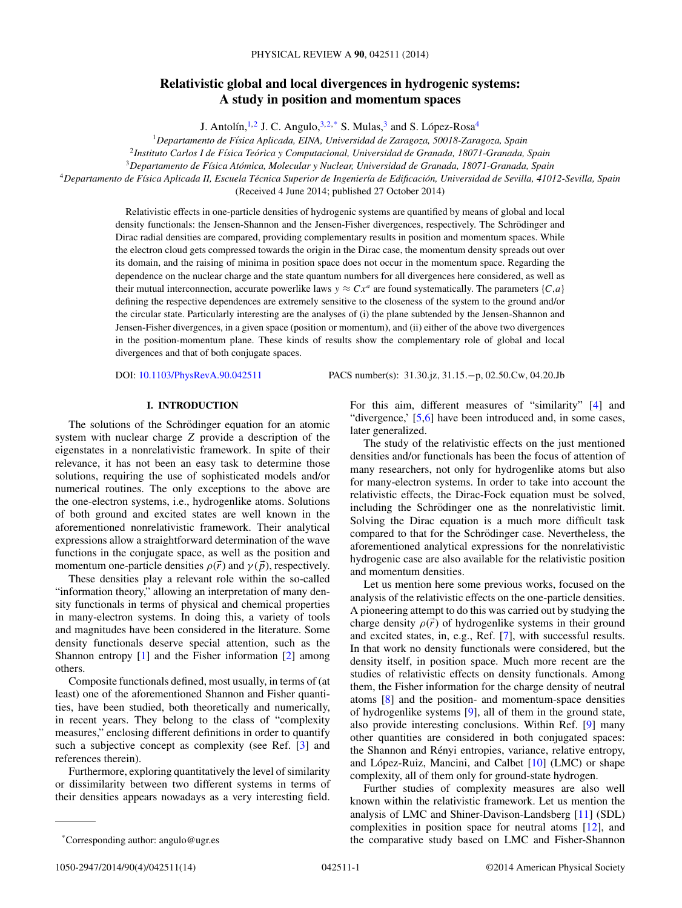# **Relativistic global and local divergences in hydrogenic systems: A study in position and momentum spaces**

J. Antolín, <sup>1,2</sup> J. C. Angulo,  $3,2,*$  S. Mulas, <sup>3</sup> and S. López-Rosa<sup>4</sup>

<sup>1</sup>*Departamento de F´ısica Aplicada, EINA, Universidad de Zaragoza, 50018-Zaragoza, Spain*

<sup>2</sup>*Instituto Carlos I de F´ısica Teorica y Computacional, Universidad de Granada, 18071-Granada, Spain ´*

<sup>3</sup>*Departamento de F´ısica Atomica, Molecular y Nuclear, Universidad de Granada, 18071-Granada, Spain ´*

<sup>4</sup>*Departamento de F´ısica Aplicada II, Escuela Tecnica Superior de Ingenier ´ ´ıa de Edificacion, Universidad de Sevilla, 41012-Sevilla, Spain ´*

(Received 4 June 2014; published 27 October 2014)

Relativistic effects in one-particle densities of hydrogenic systems are quantified by means of global and local density functionals: the Jensen-Shannon and the Jensen-Fisher divergences, respectively. The Schrödinger and Dirac radial densities are compared, providing complementary results in position and momentum spaces. While the electron cloud gets compressed towards the origin in the Dirac case, the momentum density spreads out over its domain, and the raising of minima in position space does not occur in the momentum space. Regarding the dependence on the nuclear charge and the state quantum numbers for all divergences here considered, as well as their mutual interconnection, accurate powerlike laws  $y \approx C x^a$  are found systematically. The parameters  $\{C, a\}$ defining the respective dependences are extremely sensitive to the closeness of the system to the ground and/or the circular state. Particularly interesting are the analyses of (i) the plane subtended by the Jensen-Shannon and Jensen-Fisher divergences, in a given space (position or momentum), and (ii) either of the above two divergences in the position-momentum plane. These kinds of results show the complementary role of global and local divergences and that of both conjugate spaces.

DOI: [10.1103/PhysRevA.90.042511](http://dx.doi.org/10.1103/PhysRevA.90.042511) PACS number(s): 31*.*30*.*jz*,* 31*.*15*.*−p*,* 02*.*50*.*Cw*,* 04*.*20*.*Jb

## **I. INTRODUCTION**

The solutions of the Schrödinger equation for an atomic system with nuclear charge *Z* provide a description of the eigenstates in a nonrelativistic framework. In spite of their relevance, it has not been an easy task to determine those solutions, requiring the use of sophisticated models and/or numerical routines. The only exceptions to the above are the one-electron systems, i.e., hydrogenlike atoms. Solutions of both ground and excited states are well known in the aforementioned nonrelativistic framework. Their analytical expressions allow a straightforward determination of the wave functions in the conjugate space, as well as the position and momentum one-particle densities  $\rho(\vec{r})$  and  $\gamma(\vec{p})$ , respectively.

These densities play a relevant role within the so-called "information theory," allowing an interpretation of many density functionals in terms of physical and chemical properties in many-electron systems. In doing this, a variety of tools and magnitudes have been considered in the literature. Some density functionals deserve special attention, such as the Shannon entropy [\[1\]](#page-13-0) and the Fisher information [\[2\]](#page-13-0) among others.

Composite functionals defined, most usually, in terms of (at least) one of the aforementioned Shannon and Fisher quantities, have been studied, both theoretically and numerically, in recent years. They belong to the class of "complexity measures," enclosing different definitions in order to quantify such a subjective concept as complexity (see Ref. [\[3\]](#page-13-0) and references therein).

Furthermore, exploring quantitatively the level of similarity or dissimilarity between two different systems in terms of their densities appears nowadays as a very interesting field.

For this aim, different measures of "similarity" [\[4\]](#page-13-0) and "divergence,' [\[5,6\]](#page-13-0) have been introduced and, in some cases, later generalized.

The study of the relativistic effects on the just mentioned densities and/or functionals has been the focus of attention of many researchers, not only for hydrogenlike atoms but also for many-electron systems. In order to take into account the relativistic effects, the Dirac-Fock equation must be solved, including the Schrödinger one as the nonrelativistic limit. Solving the Dirac equation is a much more difficult task compared to that for the Schrödinger case. Nevertheless, the aforementioned analytical expressions for the nonrelativistic hydrogenic case are also available for the relativistic position and momentum densities.

Let us mention here some previous works, focused on the analysis of the relativistic effects on the one-particle densities. A pioneering attempt to do this was carried out by studying the charge density  $\rho(\vec{r})$  of hydrogenlike systems in their ground and excited states, in, e.g., Ref. [\[7\]](#page-13-0), with successful results. In that work no density functionals were considered, but the density itself, in position space. Much more recent are the studies of relativistic effects on density functionals. Among them, the Fisher information for the charge density of neutral atoms [\[8\]](#page-13-0) and the position- and momentum-space densities of hydrogenlike systems [\[9\]](#page-13-0), all of them in the ground state, also provide interesting conclusions. Within Ref. [\[9\]](#page-13-0) many other quantities are considered in both conjugated spaces: the Shannon and Rényi entropies, variance, relative entropy, and López-Ruiz, Mancini, and Calbet  $[10]$  $[10]$  (LMC) or shape complexity, all of them only for ground-state hydrogen.

Further studies of complexity measures are also well known within the relativistic framework. Let us mention the analysis of LMC and Shiner-Davison-Landsberg [\[11\]](#page-13-0) (SDL) complexities in position space for neutral atoms [\[12\]](#page-13-0), and the comparative study based on LMC and Fisher-Shannon

<sup>\*</sup>Corresponding author: angulo@ugr.es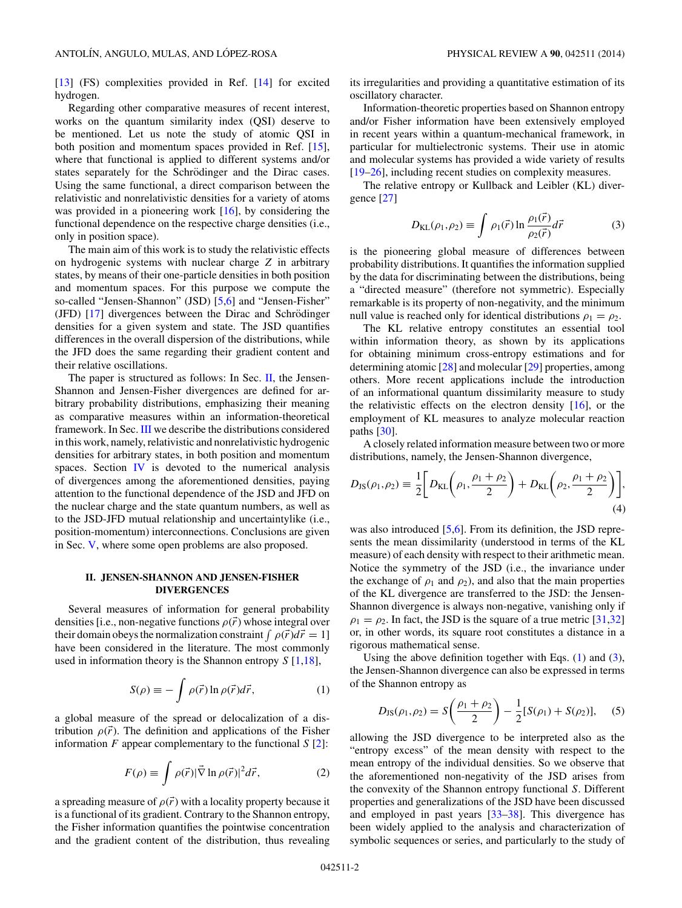<span id="page-1-0"></span>[\[13\]](#page-13-0) (FS) complexities provided in Ref. [\[14\]](#page-13-0) for excited hydrogen.

Regarding other comparative measures of recent interest, works on the quantum similarity index (QSI) deserve to be mentioned. Let us note the study of atomic QSI in both position and momentum spaces provided in Ref. [\[15\]](#page-13-0), where that functional is applied to different systems and/or states separately for the Schrödinger and the Dirac cases. Using the same functional, a direct comparison between the relativistic and nonrelativistic densities for a variety of atoms was provided in a pioneering work [\[16\]](#page-13-0), by considering the functional dependence on the respective charge densities (i.e., only in position space).

The main aim of this work is to study the relativistic effects on hydrogenic systems with nuclear charge *Z* in arbitrary states, by means of their one-particle densities in both position and momentum spaces. For this purpose we compute the so-called "Jensen-Shannon" (JSD) [\[5,6\]](#page-13-0) and "Jensen-Fisher"  $(FD)$  [\[17\]](#page-13-0) divergences between the Dirac and Schrödinger densities for a given system and state. The JSD quantifies differences in the overall dispersion of the distributions, while the JFD does the same regarding their gradient content and their relative oscillations.

The paper is structured as follows: In Sec. II, the Jensen-Shannon and Jensen-Fisher divergences are defined for arbitrary probability distributions, emphasizing their meaning as comparative measures within an information-theoretical framework. In Sec. [III](#page-2-0) we describe the distributions considered in this work, namely, relativistic and nonrelativistic hydrogenic densities for arbitrary states, in both position and momentum spaces. Section [IV](#page-3-0) is devoted to the numerical analysis of divergences among the aforementioned densities, paying attention to the functional dependence of the JSD and JFD on the nuclear charge and the state quantum numbers, as well as to the JSD-JFD mutual relationship and uncertaintylike (i.e., position-momentum) interconnections. Conclusions are given in Sec. [V,](#page-11-0) where some open problems are also proposed.

## **II. JENSEN-SHANNON AND JENSEN-FISHER DIVERGENCES**

Several measures of information for general probability densities [i.e., non-negative functions  $\rho(\vec{r})$  whose integral over their domain obeys the normalization constraint  $\int \rho(\vec{r}) d\vec{r} = 1$ have been considered in the literature. The most commonly used in information theory is the Shannon entropy *S* [\[1,18\]](#page-13-0),

$$
S(\rho) \equiv -\int \rho(\vec{r}) \ln \rho(\vec{r}) d\vec{r}, \qquad (1)
$$

a global measure of the spread or delocalization of a distribution  $\rho(\vec{r})$ . The definition and applications of the Fisher information *F* appear complementary to the functional *S* [\[2\]](#page-13-0):

$$
F(\rho) \equiv \int \rho(\vec{r}) |\vec{\nabla} \ln \rho(\vec{r})|^2 d\vec{r}, \qquad (2)
$$

a spreading measure of  $\rho(\vec{r})$  with a locality property because it is a functional of its gradient. Contrary to the Shannon entropy, the Fisher information quantifies the pointwise concentration and the gradient content of the distribution, thus revealing its irregularities and providing a quantitative estimation of its oscillatory character.

Information-theoretic properties based on Shannon entropy and/or Fisher information have been extensively employed in recent years within a quantum-mechanical framework, in particular for multielectronic systems. Their use in atomic and molecular systems has provided a wide variety of results [\[19–26\]](#page-13-0), including recent studies on complexity measures.

The relative entropy or Kullback and Leibler (KL) divergence [\[27\]](#page-13-0)

$$
D_{\text{KL}}(\rho_1, \rho_2) \equiv \int \rho_1(\vec{r}) \ln \frac{\rho_1(\vec{r})}{\rho_2(\vec{r})} d\vec{r}
$$
 (3)

is the pioneering global measure of differences between probability distributions. It quantifies the information supplied by the data for discriminating between the distributions, being a "directed measure" (therefore not symmetric). Especially remarkable is its property of non-negativity, and the minimum null value is reached only for identical distributions  $\rho_1 = \rho_2$ .

The KL relative entropy constitutes an essential tool within information theory, as shown by its applications for obtaining minimum cross-entropy estimations and for determining atomic [\[28\]](#page-13-0) and molecular [\[29\]](#page-13-0) properties, among others. More recent applications include the introduction of an informational quantum dissimilarity measure to study the relativistic effects on the electron density [\[16\]](#page-13-0), or the employment of KL measures to analyze molecular reaction paths [\[30\]](#page-13-0).

A closely related information measure between two or more distributions, namely, the Jensen-Shannon divergence,

$$
D_{\text{JS}}(\rho_1, \rho_2) \equiv \frac{1}{2} \bigg[ D_{\text{KL}} \bigg( \rho_1, \frac{\rho_1 + \rho_2}{2} \bigg) + D_{\text{KL}} \bigg( \rho_2, \frac{\rho_1 + \rho_2}{2} \bigg) \bigg], \tag{4}
$$

was also introduced [\[5,6\]](#page-13-0). From its definition, the JSD represents the mean dissimilarity (understood in terms of the KL measure) of each density with respect to their arithmetic mean. Notice the symmetry of the JSD (i.e., the invariance under the exchange of  $\rho_1$  and  $\rho_2$ ), and also that the main properties of the KL divergence are transferred to the JSD: the Jensen-Shannon divergence is always non-negative, vanishing only if  $\rho_1 = \rho_2$ . In fact, the JSD is the square of a true metric [\[31,32\]](#page-13-0) or, in other words, its square root constitutes a distance in a rigorous mathematical sense.

Using the above definition together with Eqs. (1) and (3), the Jensen-Shannon divergence can also be expressed in terms of the Shannon entropy as

$$
D_{\text{JS}}(\rho_1, \rho_2) = S\left(\frac{\rho_1 + \rho_2}{2}\right) - \frac{1}{2}[S(\rho_1) + S(\rho_2)], \quad (5)
$$

allowing the JSD divergence to be interpreted also as the "entropy excess" of the mean density with respect to the mean entropy of the individual densities. So we observe that the aforementioned non-negativity of the JSD arises from the convexity of the Shannon entropy functional *S*. Different properties and generalizations of the JSD have been discussed and employed in past years [\[33–38\]](#page-13-0). This divergence has been widely applied to the analysis and characterization of symbolic sequences or series, and particularly to the study of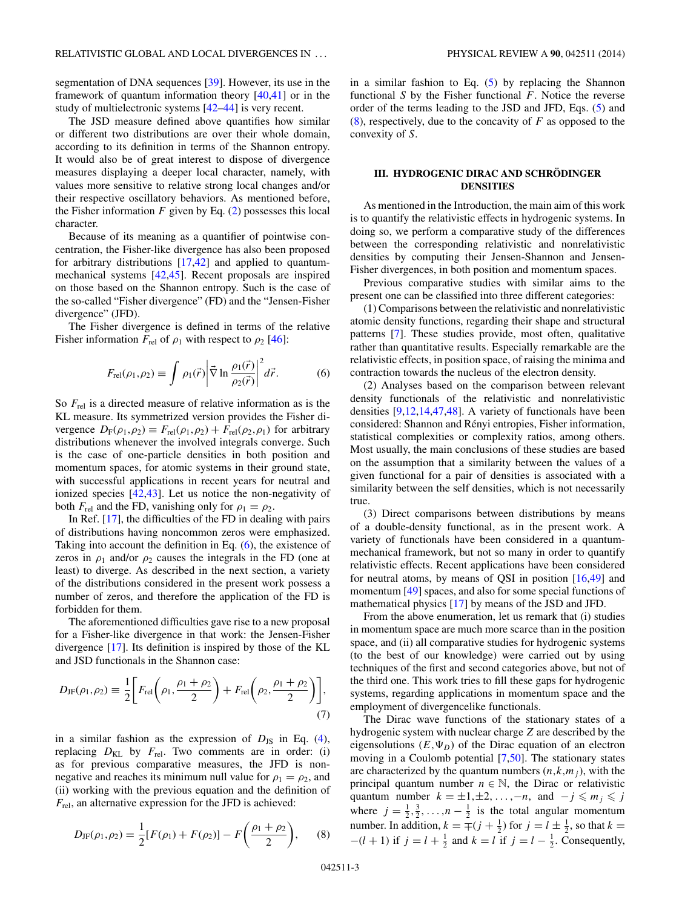<span id="page-2-0"></span>segmentation of DNA sequences [\[39\]](#page-13-0). However, its use in the framework of quantum information theory [\[40,41\]](#page-13-0) or in the study of multielectronic systems [\[42–44\]](#page-13-0) is very recent.

The JSD measure defined above quantifies how similar or different two distributions are over their whole domain, according to its definition in terms of the Shannon entropy. It would also be of great interest to dispose of divergence measures displaying a deeper local character, namely, with values more sensitive to relative strong local changes and/or their respective oscillatory behaviors. As mentioned before, the Fisher information  $F$  given by Eq.  $(2)$  possesses this local character.

Because of its meaning as a quantifier of pointwise concentration, the Fisher-like divergence has also been proposed for arbitrary distributions  $[17, 42]$  and applied to quantummechanical systems [\[42,45\]](#page-13-0). Recent proposals are inspired on those based on the Shannon entropy. Such is the case of the so-called "Fisher divergence" (FD) and the "Jensen-Fisher divergence" (JFD).

The Fisher divergence is defined in terms of the relative Fisher information  $F_{rel}$  of  $\rho_1$  with respect to  $\rho_2$  [\[46\]](#page-13-0):

$$
F_{\text{rel}}(\rho_1, \rho_2) \equiv \int \rho_1(\vec{r}) \left| \vec{\nabla} \ln \frac{\rho_1(\vec{r})}{\rho_2(\vec{r})} \right|^2 d\vec{r}.
$$
 (6)

So *F*rel is a directed measure of relative information as is the KL measure. Its symmetrized version provides the Fisher divergence  $D_F(\rho_1, \rho_2) \equiv F_{rel}(\rho_1, \rho_2) + F_{rel}(\rho_2, \rho_1)$  for arbitrary distributions whenever the involved integrals converge. Such is the case of one-particle densities in both position and momentum spaces, for atomic systems in their ground state, with successful applications in recent years for neutral and ionized species [\[42,43\]](#page-13-0). Let us notice the non-negativity of both  $F_{rel}$  and the FD, vanishing only for  $\rho_1 = \rho_2$ .

In Ref. [\[17\]](#page-13-0), the difficulties of the FD in dealing with pairs of distributions having noncommon zeros were emphasized. Taking into account the definition in Eq. (6), the existence of zeros in  $\rho_1$  and/or  $\rho_2$  causes the integrals in the FD (one at least) to diverge. As described in the next section, a variety of the distributions considered in the present work possess a number of zeros, and therefore the application of the FD is forbidden for them.

The aforementioned difficulties gave rise to a new proposal for a Fisher-like divergence in that work: the Jensen-Fisher divergence [\[17\]](#page-13-0). Its definition is inspired by those of the KL and JSD functionals in the Shannon case:

$$
D_{\text{IF}}(\rho_1, \rho_2) \equiv \frac{1}{2} \bigg[ F_{\text{rel}} \bigg( \rho_1, \frac{\rho_1 + \rho_2}{2} \bigg) + F_{\text{rel}} \bigg( \rho_2, \frac{\rho_1 + \rho_2}{2} \bigg) \bigg],\tag{7}
$$

in a similar fashion as the expression of  $D_{\text{JS}}$  in Eq. [\(4\)](#page-1-0), replacing  $D_{KL}$  by  $F_{rel}$ . Two comments are in order: (i) as for previous comparative measures, the JFD is nonnegative and reaches its minimum null value for  $\rho_1 = \rho_2$ , and (ii) working with the previous equation and the definition of *F*rel, an alternative expression for the JFD is achieved:

$$
D_{\text{JF}}(\rho_1, \rho_2) = \frac{1}{2} [F(\rho_1) + F(\rho_2)] - F\left(\frac{\rho_1 + \rho_2}{2}\right), \quad (8)
$$

in a similar fashion to Eq. [\(5\)](#page-1-0) by replacing the Shannon functional *S* by the Fisher functional *F*. Notice the reverse order of the terms leading to the JSD and JFD, Eqs. [\(5\)](#page-1-0) and (8), respectively, due to the concavity of *F* as opposed to the convexity of *S*.

# **III. HYDROGENIC DIRAC AND SCHRODINGER ¨ DENSITIES**

As mentioned in the Introduction, the main aim of this work is to quantify the relativistic effects in hydrogenic systems. In doing so, we perform a comparative study of the differences between the corresponding relativistic and nonrelativistic densities by computing their Jensen-Shannon and Jensen-Fisher divergences, in both position and momentum spaces.

Previous comparative studies with similar aims to the present one can be classified into three different categories:

(1) Comparisons between the relativistic and nonrelativistic atomic density functions, regarding their shape and structural patterns [\[7\]](#page-13-0). These studies provide, most often, qualitative rather than quantitative results. Especially remarkable are the relativistic effects, in position space, of raising the minima and contraction towards the nucleus of the electron density.

(2) Analyses based on the comparison between relevant density functionals of the relativistic and nonrelativistic densities [\[9,12,14,47,48\]](#page-13-0). A variety of functionals have been considered: Shannon and Rényi entropies, Fisher information, statistical complexities or complexity ratios, among others. Most usually, the main conclusions of these studies are based on the assumption that a similarity between the values of a given functional for a pair of densities is associated with a similarity between the self densities, which is not necessarily true.

(3) Direct comparisons between distributions by means of a double-density functional, as in the present work. A variety of functionals have been considered in a quantummechanical framework, but not so many in order to quantify relativistic effects. Recent applications have been considered for neutral atoms, by means of QSI in position [\[16,49\]](#page-13-0) and momentum [\[49\]](#page-13-0) spaces, and also for some special functions of mathematical physics [\[17\]](#page-13-0) by means of the JSD and JFD.

From the above enumeration, let us remark that (i) studies in momentum space are much more scarce than in the position space, and (ii) all comparative studies for hydrogenic systems (to the best of our knowledge) were carried out by using techniques of the first and second categories above, but not of the third one. This work tries to fill these gaps for hydrogenic systems, regarding applications in momentum space and the employment of divergencelike functionals.

The Dirac wave functions of the stationary states of a hydrogenic system with nuclear charge *Z* are described by the eigensolutions  $(E, \Psi_D)$  of the Dirac equation of an electron moving in a Coulomb potential [\[7,50\]](#page-13-0). The stationary states are characterized by the quantum numbers  $(n, k, m_i)$ , with the principal quantum number  $n \in \mathbb{N}$ , the Dirac or relativistic quantum number  $k = \pm 1, \pm 2, \ldots, -n$ , and  $-j \leq m_j \leq j$ where  $j = \frac{1}{2}, \frac{3}{2}, \dots, n - \frac{1}{2}$  is the total angular momentum number. In addition,  $k = \pm (j + \frac{1}{2})$  for  $j = l \pm \frac{1}{2}$ , so that  $k =$  $-(l + 1)$  if  $j = l + \frac{1}{2}$  and  $k = l$  if  $j = l - \frac{1}{2}$ . Consequently,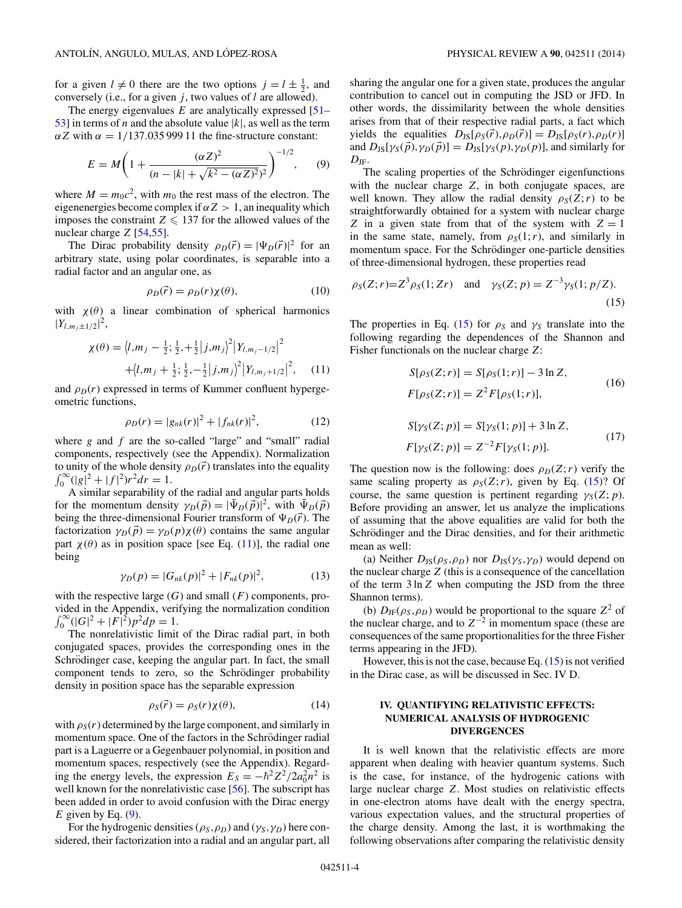<span id="page-3-0"></span>for a given  $l \neq 0$  there are the two options  $j = l \pm \frac{1}{2}$ , and conversely (i.e., for a given *j* , two values of *l* are allowed).

The energy eigenvalues *E* are analytically expressed [\[51–](#page-13-0) [53\]](#page-13-0) in terms of *n* and the absolute value |*k*|, as well as the term  $\alpha Z$  with  $\alpha = 1/137.03599911$  the fine-structure constant:

$$
E = M \left( 1 + \frac{(\alpha Z)^2}{(n - |k| + \sqrt{k^2 - (\alpha Z)^2})^2} \right)^{-1/2}, \quad (9)
$$

where  $M = m_0c^2$ , with  $m_0$  the rest mass of the electron. The eigenenergies become complex if  $\alpha Z > 1$ , an inequality which imposes the constraint  $Z \leq 137$  for the allowed values of the nuclear charge *Z* [\[54,55\]](#page-13-0).

The Dirac probability density  $\rho_D(\vec{r}) = |\Psi_D(\vec{r})|^2$  for an arbitrary state, using polar coordinates, is separable into a radial factor and an angular one, as

$$
\rho_D(\vec{r}) = \rho_D(r)\chi(\theta),\tag{10}
$$

with  $\chi(\theta)$  a linear combination of spherical harmonics  $|Y_{l,m_j\pm 1/2}|^2$ ,

$$
\chi(\theta) = \langle l, m_j - \frac{1}{2}; \frac{1}{2}, +\frac{1}{2} | j, m_j \rangle^2 | Y_{l, m_j - 1/2} |^2 + \langle l, m_j + \frac{1}{2}; \frac{1}{2}, -\frac{1}{2} | j, m_j \rangle^2 | Y_{l, m_j + 1/2} |^2,
$$
(11)

and  $\rho_D(r)$  expressed in terms of Kummer confluent hypergeometric functions,

$$
\rho_D(r) = |g_{nk}(r)|^2 + |f_{nk}(r)|^2, \tag{12}
$$

where *g* and *f* are the so-called "large" and "small" radial components, respectively (see the Appendix). Normalization to unity of the whole density  $\rho_D(\vec{r})$  translates into the equality  $\int_0^\infty (|g|^2 + |f|^2) r^2 dr = 1.$ 

A similar separability of the radial and angular parts holds for the momentum density  $\gamma_D(\vec{p}) = |\Psi_D(\vec{p})|^2$ , with  $\Psi_D(\vec{p})$ being the three-dimensional Fourier transform of  $\Psi_D(\vec{r})$ . The factorization  $\gamma_D(\vec{p}) = \gamma_D(p)\chi(\theta)$  contains the same angular part  $\chi(\theta)$  as in position space [see Eq. (11)], the radial one being

$$
\gamma_D(p) = |G_{nk}(p)|^2 + |F_{nk}(p)|^2, \tag{13}
$$

with the respective large  $(G)$  and small  $(F)$  components, provided in the Appendix, verifying the normalization condition  $\int_0^\infty (|G|^2 + |F|^2) p^2 dp = 1.$ 

The nonrelativistic limit of the Dirac radial part, in both conjugated spaces, provides the corresponding ones in the Schrödinger case, keeping the angular part. In fact, the small component tends to zero, so the Schrödinger probability density in position space has the separable expression

$$
\rho_S(\vec{r}) = \rho_S(r)\chi(\theta),\tag{14}
$$

with  $\rho_S(r)$  determined by the large component, and similarly in momentum space. One of the factors in the Schrödinger radial part is a Laguerre or a Gegenbauer polynomial, in position and momentum spaces, respectively (see the Appendix). Regarding the energy levels, the expression  $E_s = -\hbar^2 Z^2/2a_0^2 n^2$  is well known for the nonrelativistic case [\[56\]](#page-13-0). The subscript has been added in order to avoid confusion with the Dirac energy *E* given by Eq.  $(9)$ .

For the hydrogenic densities ( $\rho_S$ ,  $\rho_D$ ) and ( $\gamma_S$ ,  $\gamma_D$ ) here considered, their factorization into a radial and an angular part, all sharing the angular one for a given state, produces the angular contribution to cancel out in computing the JSD or JFD. In other words, the dissimilarity between the whole densities arises from that of their respective radial parts, a fact which yields the equalities  $D_{\text{JS}}[\rho_{\text{S}}(\vec{r}), \rho_{\text{D}}(\vec{r})] = D_{\text{JS}}[\rho_{\text{S}}(r), \rho_{\text{D}}(r)]$ and  $D_{JS}[\gamma_S(\vec{p}), \gamma_D(\vec{p})] = D_{JS}[\gamma_S(p), \gamma_D(p)]$ , and similarly for  $D_{\text{JF}}$ .

The scaling properties of the Schrödinger eigenfunctions with the nuclear charge *Z*, in both conjugate spaces, are well known. They allow the radial density  $\rho_S(Z; r)$  to be straightforwardly obtained for a system with nuclear charge *Z* in a given state from that of the system with  $Z = 1$ in the same state, namely, from  $\rho_S(1;r)$ , and similarly in momentum space. For the Schrödinger one-particle densities of three-dimensional hydrogen, these properties read

$$
\rho_S(Z; r) = Z^3 \rho_S(1; Zr)
$$
 and  $\gamma_S(Z; p) = Z^{-3} \gamma_S(1; p/Z).$ \n(15)

The properties in Eq. (15) for  $\rho_S$  and  $\gamma_S$  translate into the following regarding the dependences of the Shannon and Fisher functionals on the nuclear charge *Z*:

$$
S[\rho_S(Z; r)] = S[\rho_S(1; r)] - 3 \ln Z,
$$
  
\n
$$
F[\rho_S(Z; r)] = Z^2 F[\rho_S(1; r)],
$$
\n(16)

$$
S[\gamma_S(Z; p)] = S[\gamma_S(1; p)] + 3 \ln Z,
$$
  
\n
$$
F[\gamma_S(Z; p)] = Z^{-2} F[\gamma_S(1; p)].
$$
\n(17)

The question now is the following: does  $\rho_D(Z; r)$  verify the same scaling property as  $\rho_S(Z; r)$ , given by Eq. (15)? Of course, the same question is pertinent regarding  $\gamma_S(Z; p)$ . Before providing an answer, let us analyze the implications of assuming that the above equalities are valid for both the Schrödinger and the Dirac densities, and for their arithmetic mean as well:

(a) Neither  $D_{\text{JS}}(\rho_S, \rho_D)$  nor  $D_{\text{JS}}(\gamma_S, \gamma_D)$  would depend on the nuclear charge *Z* (this is a consequence of the cancellation of the term 3 ln*Z* when computing the JSD from the three Shannon terms).

(b)  $D_{\text{JF}}(\rho_S, \rho_D)$  would be proportional to the square  $Z^2$  of the nuclear charge, and to  $Z^{-2}$  in momentum space (these are consequences of the same proportionalities for the three Fisher terms appearing in the JFD).

However, this is not the case, because Eq.  $(15)$  is not verified in the Dirac case, as will be discussed in Sec. IV D.

# **IV. QUANTIFYING RELATIVISTIC EFFECTS: NUMERICAL ANALYSIS OF HYDROGENIC DIVERGENCES**

It is well known that the relativistic effects are more apparent when dealing with heavier quantum systems. Such is the case, for instance, of the hydrogenic cations with large nuclear charge *Z*. Most studies on relativistic effects in one-electron atoms have dealt with the energy spectra, various expectation values, and the structural properties of the charge density. Among the last, it is worthmaking the following observations after comparing the relativistic density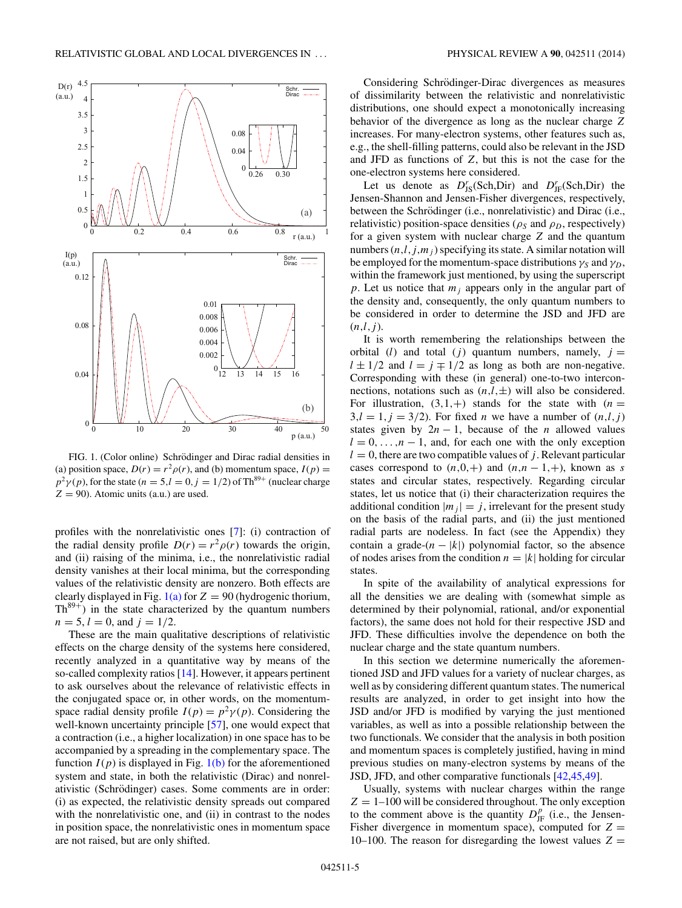

FIG. 1. (Color online) Schrödinger and Dirac radial densities in (a) position space,  $D(r) = r^2 \rho(r)$ , and (b) momentum space,  $I(p)$  $p^2$ *γ*(*p*), for the state (*n* = 5,*l* = 0, *j* = 1/2) of Th<sup>89+</sup> (nuclear charge  $Z = 90$ ). Atomic units (a.u.) are used.

profiles with the nonrelativistic ones [\[7\]](#page-13-0): (i) contraction of the radial density profile  $D(r) = r^2 \rho(r)$  towards the origin, and (ii) raising of the minima, i.e., the nonrelativistic radial density vanishes at their local minima, but the corresponding values of the relativistic density are nonzero. Both effects are clearly displayed in Fig.  $1(a)$  for  $Z = 90$  (hydrogenic thorium,  $Th<sup>89+</sup>$ ) in the state characterized by the quantum numbers  $n = 5, l = 0,$  and  $j = 1/2$ .

These are the main qualitative descriptions of relativistic effects on the charge density of the systems here considered, recently analyzed in a quantitative way by means of the so-called complexity ratios [\[14\]](#page-13-0). However, it appears pertinent to ask ourselves about the relevance of relativistic effects in the conjugated space or, in other words, on the momentumspace radial density profile  $I(p) = p^2 \gamma(p)$ . Considering the well-known uncertainty principle [\[57\]](#page-13-0), one would expect that a contraction (i.e., a higher localization) in one space has to be accompanied by a spreading in the complementary space. The function  $I(p)$  is displayed in Fig.  $1(b)$  for the aforementioned system and state, in both the relativistic (Dirac) and nonrelativistic (Schrödinger) cases. Some comments are in order: (i) as expected, the relativistic density spreads out compared with the nonrelativistic one, and (ii) in contrast to the nodes in position space, the nonrelativistic ones in momentum space are not raised, but are only shifted.

Considering Schrödinger-Dirac divergences as measures of dissimilarity between the relativistic and nonrelativistic distributions, one should expect a monotonically increasing behavior of the divergence as long as the nuclear charge *Z* increases. For many-electron systems, other features such as, e.g., the shell-filling patterns, could also be relevant in the JSD and JFD as functions of *Z*, but this is not the case for the one-electron systems here considered.

Let us denote as  $D_{\text{JS}}^r(\text{Sch},\text{Dir})$  and  $D_{\text{JF}}^r(\text{Sch},\text{Dir})$  the Jensen-Shannon and Jensen-Fisher divergences, respectively, between the Schrödinger (i.e., nonrelativistic) and Dirac (i.e., relativistic) position-space densities ( $\rho_S$  and  $\rho_D$ , respectively) for a given system with nuclear charge *Z* and the quantum numbers  $(n,l,j,m_j)$  specifying its state. A similar notation will be employed for the momentum-space distributions  $\gamma_S$  and  $\gamma_D$ , within the framework just mentioned, by using the superscript *p*. Let us notice that *mj* appears only in the angular part of the density and, consequently, the only quantum numbers to be considered in order to determine the JSD and JFD are  $(n,l,j)$ .

It is worth remembering the relationships between the orbital (*l*) and total (*j*) quantum numbers, namely,  $j =$  $l \pm 1/2$  and  $l = j \mp 1/2$  as long as both are non-negative. Corresponding with these (in general) one-to-two interconnections, notations such as  $(n, l, \pm)$  will also be considered. For illustration,  $(3,1,+)$  stands for the state with  $(n=$  $3,l = 1, j = 3/2$ ). For fixed *n* we have a number of  $(n,l,j)$ states given by  $2n - 1$ , because of the *n* allowed values  $l = 0, \ldots, n - 1$ , and, for each one with the only exception  $l = 0$ , there are two compatible values of *j*. Relevant particular cases correspond to  $(n,0,+)$  and  $(n,n-1,+)$ , known as *s* states and circular states, respectively. Regarding circular states, let us notice that (i) their characterization requires the additional condition  $|m_j| = j$ , irrelevant for the present study on the basis of the radial parts, and (ii) the just mentioned radial parts are nodeless. In fact (see the Appendix) they contain a grade- $(n - |k|)$  polynomial factor, so the absence of nodes arises from the condition  $n = |k|$  holding for circular states.

In spite of the availability of analytical expressions for all the densities we are dealing with (somewhat simple as determined by their polynomial, rational, and/or exponential factors), the same does not hold for their respective JSD and JFD. These difficulties involve the dependence on both the nuclear charge and the state quantum numbers.

In this section we determine numerically the aforementioned JSD and JFD values for a variety of nuclear charges, as well as by considering different quantum states. The numerical results are analyzed, in order to get insight into how the JSD and/or JFD is modified by varying the just mentioned variables, as well as into a possible relationship between the two functionals. We consider that the analysis in both position and momentum spaces is completely justified, having in mind previous studies on many-electron systems by means of the JSD, JFD, and other comparative functionals [\[42,45,49\]](#page-13-0).

Usually, systems with nuclear charges within the range  $Z = 1-100$  will be considered throughout. The only exception to the comment above is the quantity  $D_{\text{JF}}^p$  (i.e., the Jensen-Fisher divergence in momentum space), computed for  $Z =$ 10–100. The reason for disregarding the lowest values  $Z =$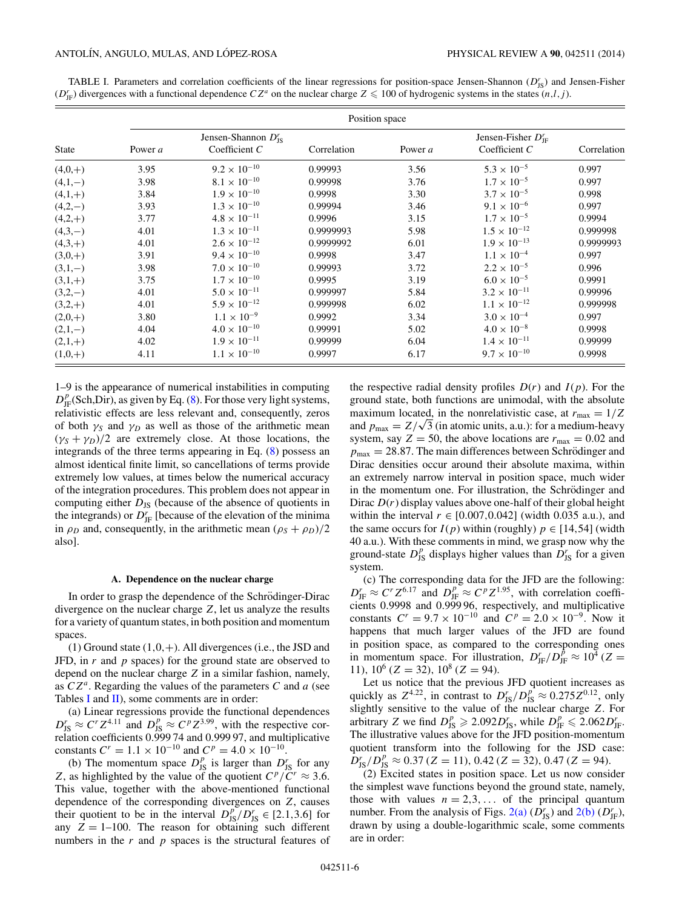| State     | Position space                   |                       |             |                          |                       |             |  |  |  |
|-----------|----------------------------------|-----------------------|-------------|--------------------------|-----------------------|-------------|--|--|--|
|           | Jensen-Shannon $D_{\text{IS}}^r$ |                       |             | Jensen-Fisher $D_{IF}^r$ |                       |             |  |  |  |
|           | Power a                          | Coefficient $C$       | Correlation | Power a                  | Coefficient $C$       | Correlation |  |  |  |
| $(4,0,+)$ | 3.95                             | $9.2 \times 10^{-10}$ | 0.99993     | 3.56                     | $5.3 \times 10^{-5}$  | 0.997       |  |  |  |
| $(4,1,-)$ | 3.98                             | $8.1 \times 10^{-10}$ | 0.99998     | 3.76                     | $1.7 \times 10^{-5}$  | 0.997       |  |  |  |
| $(4,1,+)$ | 3.84                             | $1.9 \times 10^{-10}$ | 0.9998      | 3.30                     | $3.7 \times 10^{-5}$  | 0.998       |  |  |  |
| $(4,2,-)$ | 3.93                             | $1.3 \times 10^{-10}$ | 0.99994     | 3.46                     | $9.1 \times 10^{-6}$  | 0.997       |  |  |  |
| $(4,2,+)$ | 3.77                             | $4.8 \times 10^{-11}$ | 0.9996      | 3.15                     | $1.7 \times 10^{-5}$  | 0.9994      |  |  |  |
| $(4,3,-)$ | 4.01                             | $1.3 \times 10^{-11}$ | 0.9999993   | 5.98                     | $1.5 \times 10^{-12}$ | 0.999998    |  |  |  |
| $(4,3,+)$ | 4.01                             | $2.6 \times 10^{-12}$ | 0.9999992   | 6.01                     | $1.9 \times 10^{-13}$ | 0.9999993   |  |  |  |
| $(3,0,+)$ | 3.91                             | $9.4 \times 10^{-10}$ | 0.9998      | 3.47                     | $1.1 \times 10^{-4}$  | 0.997       |  |  |  |
| $(3,1,-)$ | 3.98                             | $7.0 \times 10^{-10}$ | 0.99993     | 3.72                     | $2.2 \times 10^{-5}$  | 0.996       |  |  |  |
| $(3,1,+)$ | 3.75                             | $1.7 \times 10^{-10}$ | 0.9995      | 3.19                     | $6.0 \times 10^{-5}$  | 0.9991      |  |  |  |
| $(3,2,-)$ | 4.01                             | $5.0 \times 10^{-11}$ | 0.999997    | 5.84                     | $3.2 \times 10^{-11}$ | 0.99996     |  |  |  |
| $(3,2,+)$ | 4.01                             | $5.9 \times 10^{-12}$ | 0.999998    | 6.02                     | $1.1 \times 10^{-12}$ | 0.999998    |  |  |  |
| $(2,0,+)$ | 3.80                             | $1.1 \times 10^{-9}$  | 0.9992      | 3.34                     | $3.0 \times 10^{-4}$  | 0.997       |  |  |  |
| $(2,1,-)$ | 4.04                             | $4.0 \times 10^{-10}$ | 0.99991     | 5.02                     | $4.0 \times 10^{-8}$  | 0.9998      |  |  |  |
| $(2,1,+)$ | 4.02                             | $1.9 \times 10^{-11}$ | 0.99999     | 6.04                     | $1.4 \times 10^{-11}$ | 0.99999     |  |  |  |
| $(1,0,+)$ | 4.11                             | $1.1 \times 10^{-10}$ | 0.9997      | 6.17                     | $9.7 \times 10^{-10}$ | 0.9998      |  |  |  |

<span id="page-5-0"></span>TABLE I. Parameters and correlation coefficients of the linear regressions for position-space Jensen-Shannon  $(D_{\text{JS}}^r)$  and Jensen-Fisher  $(D_{\text{IF}}^r)$  divergences with a functional dependence  $CZ^a$  on the nuclear charge  $Z \leq 100$  of hydrogenic systems in the states  $(n,l,j)$ .

1–9 is the appearance of numerical instabilities in computing  $D_{\text{JF}}^{p}(\text{Sch}, \text{Dir})$ , as given by Eq. [\(8\)](#page-2-0). For those very light systems, relativistic effects are less relevant and, consequently, zeros of both  $\gamma_s$  and  $\gamma_p$  as well as those of the arithmetic mean  $(\gamma_S + \gamma_D)/2$  are extremely close. At those locations, the integrands of the three terms appearing in Eq. [\(8\)](#page-2-0) possess an almost identical finite limit, so cancellations of terms provide extremely low values, at times below the numerical accuracy of the integration procedures. This problem does not appear in computing either *D*<sub>JS</sub> (because of the absence of quotients in the integrands) or  $D'_{\text{IF}}$  [because of the elevation of the minima in  $\rho_D$  and, consequently, in the arithmetic mean  $(\rho_S + \rho_D)/2$ also].

### **A. Dependence on the nuclear charge**

In order to grasp the dependence of the Schrödinger-Dirac divergence on the nuclear charge *Z*, let us analyze the results for a variety of quantum states, in both position and momentum spaces.

(1) Ground state (1*,*0*,*+). All divergences (i.e., the JSD and JFD, in *r* and *p* spaces) for the ground state are observed to depend on the nuclear charge *Z* in a similar fashion, namely, as *CZ<sup>a</sup>*. Regarding the values of the parameters *C* and *a* (see Tables I and [II\)](#page-6-0), some comments are in order:

(a) Linear regressions provide the functional dependences  $D_{\text{JS}}^r \approx C^r Z^{4.11}$  and  $D_{\text{JS}}^p \approx C^p Z^{3.99}$ , with the respective correlation coefficients 0*.*999 74 and 0*.*999 97, and multiplicative constants  $C^r = 1.1 \times 10^{-10}$  and  $C^p = 4.0 \times 10^{-10}$ .

(b) The momentum space  $D_{\text{JS}}^p$  is larger than  $D_{\text{JS}}^r$  for any *Z*, as highlighted by the value of the quotient  $C^p/\tilde{C}^r \approx 3.6$ . This value, together with the above-mentioned functional dependence of the corresponding divergences on *Z*, causes their quotient to be in the interval  $D_{\text{JS}}^p/D_{\text{JS}}^r \in [2.1, 3.6]$  for any  $Z = 1-100$ . The reason for obtaining such different numbers in the *r* and *p* spaces is the structural features of the respective radial density profiles  $D(r)$  and  $I(p)$ . For the ground state, both functions are unimodal, with the absolute maximum located, in the nonrelativistic case, at  $r_{\text{max}} = 1/Z$ and  $p_{\text{max}} = Z/\sqrt{3}$  (in atomic units, a.u.): for a medium-heavy system, say  $Z = 50$ , the above locations are  $r_{\text{max}} = 0.02$  and  $p_{\text{max}} = 28.87$ . The main differences between Schrödinger and Dirac densities occur around their absolute maxima, within an extremely narrow interval in position space, much wider in the momentum one. For illustration, the Schrödinger and Dirac *D*(*r*) display values above one-half of their global height within the interval *r* ∈ [0.007,0.042] (width 0.035 a.u.), and the same occurs for  $I(p)$  within (roughly)  $p \in [14, 54]$  (width 40 a.u.). With these comments in mind, we grasp now why the ground-state  $D_{\text{JS}}^p$  displays higher values than  $D_{\text{JS}}^r$  for a given system.

(c) The corresponding data for the JFD are the following:  $D_{\text{JF}}^r \approx C^r Z^{6.17}$  and  $D_{\text{JF}}^p \approx C^p Z^{1.95}$ , with correlation coefficients 0*.*9998 and 0*.*999 96*,* respectively, and multiplicative constants  $C^r = 9.7 \times 10^{-10}$  and  $C^p = 2.0 \times 10^{-9}$ . Now it happens that much larger values of the JFD are found in position space, as compared to the corresponding ones in momentum space. For illustration,  $D_{\text{JF}}^r/D_{\text{JF}}^{\hat{p}} \approx 10^4$  (*Z* = 11),  $10^6$  ( $Z = 32$ ),  $10^8$  ( $Z = 94$ ).

Let us notice that the previous JFD quotient increases as quickly as  $Z^{4.22}$ , in contrast to  $D_{\text{JS}}^r/D_{\text{JS}}^p \approx 0.275Z^{0.12}$ , only slightly sensitive to the value of the nuclear charge *Z*. For arbitrary *Z* we find  $D_{\text{JS}}^p \ge 2.092 D_{\text{JS}}^r$ , while  $D_{\text{JF}}^p \le 2.062 D_{\text{JF}}^r$ . The illustrative values above for the JFD position-momentum quotient transform into the following for the JSD case:  $D_{\text{JS}}^r/D_{\text{JS}}^p \approx 0.37$  (*Z* = 11)*,* 0*.*42 (*Z* = 32)*,* 0*.*47 (*Z* = 94).

(2) Excited states in position space. Let us now consider the simplest wave functions beyond the ground state, namely, those with values  $n = 2,3,...$  of the principal quantum number. From the analysis of Figs.  $2(a)$  ( $D^r_{JS}$ ) and  $2(b)$  ( $D^r_{JF}$ ), drawn by using a double-logarithmic scale, some comments are in order: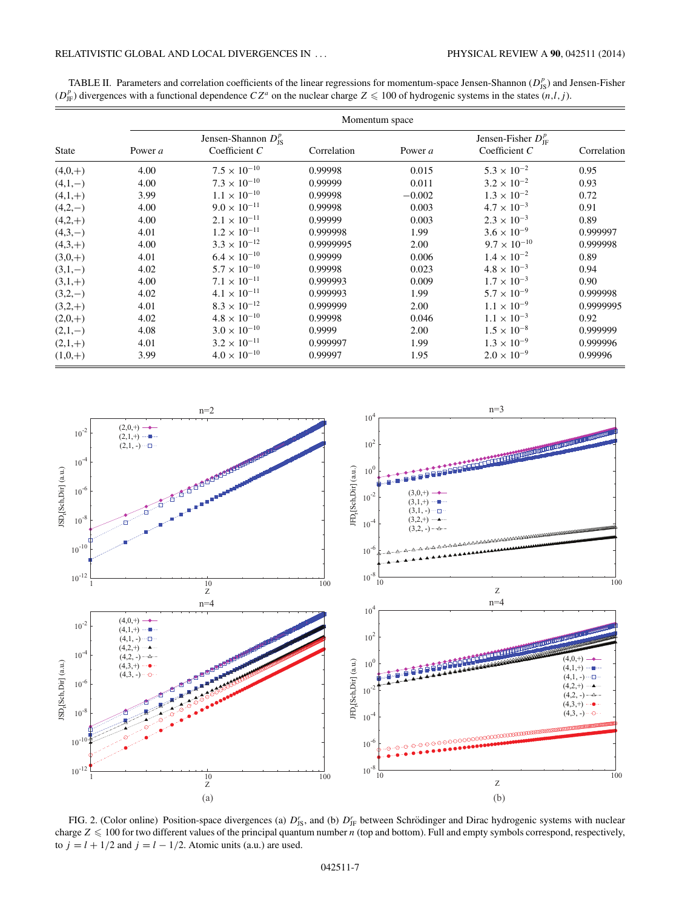|              | Momentum space |                                  |             |                            |                       |             |  |  |  |
|--------------|----------------|----------------------------------|-------------|----------------------------|-----------------------|-------------|--|--|--|
|              |                | Jensen-Shannon $D_{\text{IS}}^p$ |             | Jensen-Fisher $D_{IF}^{p}$ |                       |             |  |  |  |
| <b>State</b> | Power a        | Coefficient $C$                  | Correlation | Power a                    | Coefficient $C$       | Correlation |  |  |  |
| $(4,0,+)$    | 4.00           | $7.5 \times 10^{-10}$            | 0.99998     | 0.015                      | $5.3 \times 10^{-2}$  | 0.95        |  |  |  |
| $(4,1,-)$    | 4.00           | $7.3 \times 10^{-10}$            | 0.99999     | 0.011                      | $3.2 \times 10^{-2}$  | 0.93        |  |  |  |
| $(4,1,+)$    | 3.99           | $1.1 \times 10^{-10}$            | 0.99998     | $-0.002$                   | $1.3 \times 10^{-2}$  | 0.72        |  |  |  |
| $(4,2,-)$    | 4.00           | $9.0 \times 10^{-11}$            | 0.99998     | 0.003                      | $4.7 \times 10^{-3}$  | 0.91        |  |  |  |
| $(4,2,+)$    | 4.00           | $2.1 \times 10^{-11}$            | 0.99999     | 0.003                      | $2.3 \times 10^{-3}$  | 0.89        |  |  |  |
| $(4,3,-)$    | 4.01           | $1.2 \times 10^{-11}$            | 0.999998    | 1.99                       | $3.6 \times 10^{-9}$  | 0.999997    |  |  |  |
| $(4,3,+)$    | 4.00           | $3.3 \times 10^{-12}$            | 0.9999995   | 2.00                       | $9.7 \times 10^{-10}$ | 0.999998    |  |  |  |
| $(3,0,+)$    | 4.01           | $6.4 \times 10^{-10}$            | 0.99999     | 0.006                      | $1.4 \times 10^{-2}$  | 0.89        |  |  |  |
| $(3,1,-)$    | 4.02           | $5.7 \times 10^{-10}$            | 0.99998     | 0.023                      | $4.8 \times 10^{-3}$  | 0.94        |  |  |  |
| $(3,1,+)$    | 4.00           | $7.1\times10^{-11}$              | 0.999993    | 0.009                      | $1.7 \times 10^{-3}$  | 0.90        |  |  |  |
| $(3,2,-)$    | 4.02           | $4.1 \times 10^{-11}$            | 0.999993    | 1.99                       | $5.7 \times 10^{-9}$  | 0.999998    |  |  |  |
| $(3,2,+)$    | 4.01           | $8.3 \times 10^{-12}$            | 0.999999    | 2.00                       | $1.1 \times 10^{-9}$  | 0.9999995   |  |  |  |
| $(2,0,+)$    | 4.02           | $4.8 \times 10^{-10}$            | 0.99998     | 0.046                      | $1.1 \times 10^{-3}$  | 0.92        |  |  |  |
| $(2,1,-)$    | 4.08           | $3.0 \times 10^{-10}$            | 0.9999      | 2.00                       | $1.5 \times 10^{-8}$  | 0.999999    |  |  |  |
| $(2,1,+)$    | 4.01           | $3.2 \times 10^{-11}$            | 0.999997    | 1.99                       | $1.3 \times 10^{-9}$  | 0.999996    |  |  |  |
| $(1,0,+)$    | 3.99           | $4.0 \times 10^{-10}$            | 0.99997     | 1.95                       | $2.0 \times 10^{-9}$  | 0.99996     |  |  |  |

<span id="page-6-0"></span>TABLE II. Parameters and correlation coefficients of the linear regressions for momentum-space Jensen-Shannon  $(D_{JS}^p)$  and Jensen-Fisher  $(D_F^p)$  divergences with a functional dependence  $CZ^a$  on the nuclear charge  $Z \le 100$  of hydrogenic systems in the states  $(n,l,j)$ .



FIG. 2. (Color online) Position-space divergences (a)  $D'_{JS}$ , and (b)  $D'_{JF}$  between Schrödinger and Dirac hydrogenic systems with nuclear charge  $Z \leqslant 100$  for two different values of the principal quantum number *n* (top and bottom). Full and empty symbols correspond, respectively, to  $j = l + 1/2$  and  $j = l - 1/2$ . Atomic units (a.u.) are used.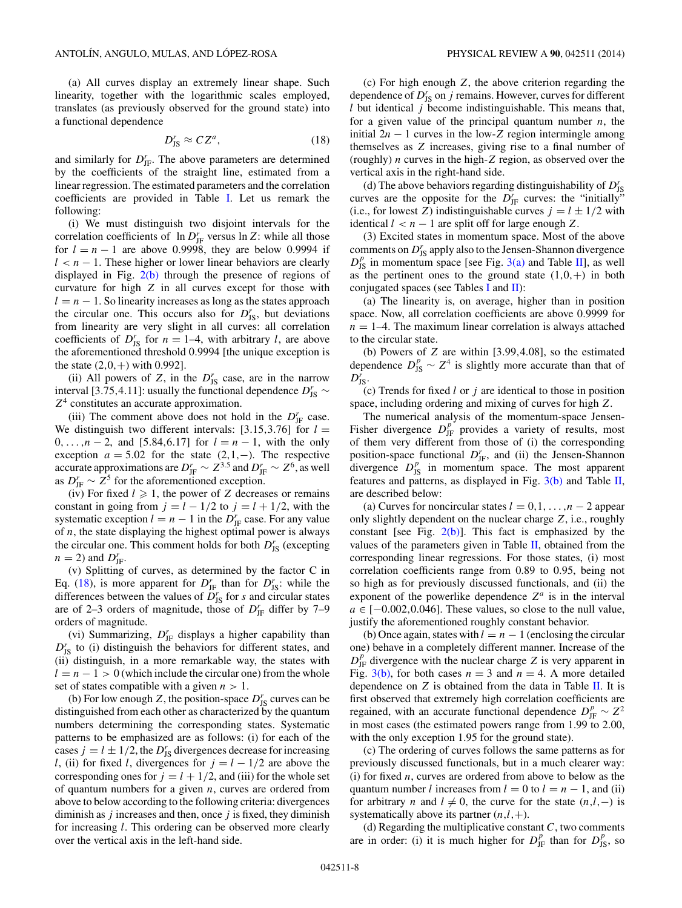(a) All curves display an extremely linear shape. Such linearity, together with the logarithmic scales employed, translates (as previously observed for the ground state) into a functional dependence

$$
D_{\rm JS}^r \approx C Z^a,\tag{18}
$$

and similarly for  $D_{\text{IF}}^r$ . The above parameters are determined by the coefficients of the straight line, estimated from a linear regression. The estimated parameters and the correlation coefficients are provided in Table [I.](#page-5-0) Let us remark the following:

(i) We must distinguish two disjoint intervals for the correlation coefficients of  $\ln D_{\text{IF}}^r$  versus  $\ln Z$ : while all those for  $l = n - 1$  are above 0.9998, they are below 0.9994 if  $l < n - 1$ . These higher or lower linear behaviors are clearly displayed in Fig.  $2(b)$  through the presence of regions of curvature for high *Z* in all curves except for those with  $l = n - 1$ . So linearity increases as long as the states approach the circular one. This occurs also for  $D_{\text{JS}}^r$ , but deviations from linearity are very slight in all curves: all correlation coefficients of  $D_{\text{JS}}^r$  for  $n = 1-4$ , with arbitrary *l*, are above the aforementioned threshold 0*.*9994 [the unique exception is the state (2*,*0*,*+) with 0.992].

(ii) All powers of  $Z$ , in the  $D_{\text{JS}}^r$  case, are in the narrow interval [3.75,4.11]: usually the functional dependence  $D_{\text{JS}}^r \sim$ *Z*<sup>4</sup> constitutes an accurate approximation.

(iii) The comment above does not hold in the  $D_{\text{JF}}^r$  case. We distinguish two different intervals:  $[3.15, 3.76]$  for  $l =$ 0*, . . . ,n* − 2, and [5*.*84*,*6*.*17] for *l* = *n* − 1, with the only exception  $a = 5.02$  for the state  $(2, 1, -)$ . The respective accurate approximations are  $D_F^r \sim Z^{3.5}$  and  $D_F^r \sim Z^6$ , as well as  $D'_{\text{IF}} \sim Z^5$  for the aforementioned exception.

(iv) For fixed  $l \geq 1$ , the power of *Z* decreases or remains constant in going from  $j = l - 1/2$  to  $j = l + 1/2$ , with the systematic exception  $l = n - 1$  in the  $D_{\text{IF}}^r$  case. For any value of *n*, the state displaying the highest optimal power is always the circular one. This comment holds for both  $D_{\text{JS}}^r$  (excepting  $n = 2$ ) and  $D_{\text{JF}}^r$ .

(v) Splitting of curves, as determined by the factor C in Eq. (18), is more apparent for  $D_{\text{JF}}^r$  than for  $D_{\text{JS}}^r$ : while the differences between the values of  $\ddot{D}_{\text{JS}}^r$  for *s* and circular states are of 2–3 orders of magnitude, those of  $D_{\text{JF}}^r$  differ by 7–9 orders of magnitude.

(vi) Summarizing,  $D_{\text{JF}}^r$  displays a higher capability than  $D_{\text{JS}}^r$  to (i) distinguish the behaviors for different states, and (ii) distinguish, in a more remarkable way, the states with  $l = n - 1 > 0$  (which include the circular one) from the whole set of states compatible with a given *n >* 1.

(b) For low enough *Z*, the position-space  $D_{\text{JS}}^r$  curves can be distinguished from each other as characterized by the quantum numbers determining the corresponding states. Systematic patterns to be emphasized are as follows: (i) for each of the cases  $j = l \pm 1/2$ , the  $D_{\text{JS}}^r$  divergences decrease for increasing *l*, (ii) for fixed *l*, divergences for  $j = l - 1/2$  are above the corresponding ones for  $j = l + 1/2$ , and (iii) for the whole set of quantum numbers for a given *n*, curves are ordered from above to below according to the following criteria: divergences diminish as *j* increases and then, once *j* is fixed, they diminish for increasing *l*. This ordering can be observed more clearly over the vertical axis in the left-hand side.

(c) For high enough *Z*, the above criterion regarding the dependence of  $D_{\text{JS}}^r$  on *j* remains. However, curves for different *l* but identical *j* become indistinguishable. This means that, for a given value of the principal quantum number *n*, the initial  $2n - 1$  curves in the low-Z region intermingle among themselves as *Z* increases, giving rise to a final number of (roughly) *n* curves in the high-*Z* region, as observed over the vertical axis in the right-hand side.

(d) The above behaviors regarding distinguishability of  $D_{\text{JS}}^r$  curves are the opposite for the  $D_{\text{JF}}^r$  curves: the "initially" (i.e., for lowest *Z*) indistinguishable curves  $j = l \pm 1/2$  with identical  $l < n − 1$  are split off for large enough  $Z$ .

(3) Excited states in momentum space. Most of the above comments on  $D_{\text{JS}}^r$  apply also to the Jensen-Shannon divergence  $D_{\text{JS}}^p$  in momentum space [see Fig. [3\(a\)](#page-8-0) and Table [II\]](#page-6-0), as well as the pertinent ones to the ground state  $(1,0,+)$  in both conjugated spaces (see Tables [I](#page-5-0) and [II\)](#page-6-0):

(a) The linearity is, on average, higher than in position space. Now, all correlation coefficients are above 0*.*9999 for  $n = 1-4$ . The maximum linear correlation is always attached to the circular state.

(b) Powers of *Z* are within [3*.*99*,*4*.*08], so the estimated dependence  $D_{\text{JS}}^p \sim Z^4$  is slightly more accurate than that of  $D'_{\text{JS}}$ .

(c) Trends for fixed *l* or *j* are identical to those in position space, including ordering and mixing of curves for high *Z*.

The numerical analysis of the momentum-space Jensen-Fisher divergence  $D_F^p$  provides a variety of results, most of them very different from those of (i) the corresponding position-space functional  $D_{\text{JF}}^r$ , and (ii) the Jensen-Shannon divergence  $D_{\text{JS}}^p$  in momentum space. The most apparent features and patterns, as displayed in Fig.  $3(b)$  and Table [II,](#page-6-0) are described below:

(a) Curves for noncircular states  $l = 0, 1, \ldots, n - 2$  appear only slightly dependent on the nuclear charge *Z*, i.e., roughly constant [see Fig.  $2(b)$ ]. This fact is emphasized by the values of the parameters given in Table  $II$ , obtained from the corresponding linear regressions. For those states, (i) most correlation coefficients range from 0.89 to 0.95, being not so high as for previously discussed functionals, and (ii) the exponent of the powerlike dependence  $Z^a$  is in the interval *a* ∈ [−0*.*002*,*0*.*046]. These values, so close to the null value, justify the aforementioned roughly constant behavior.

(b) Once again, states with  $l = n - 1$  (enclosing the circular one) behave in a completely different manner. Increase of the  $D_{\text{JF}}^{p}$  divergence with the nuclear charge *Z* is very apparent in Fig. [3\(b\),](#page-8-0) for both cases  $n = 3$  and  $n = 4$ . A more detailed dependence on  $Z$  is obtained from the data in Table [II.](#page-6-0) It is first observed that extremely high correlation coefficients are regained, with an accurate functional dependence  $D_F^p \sim Z^2$ in most cases (the estimated powers range from 1.99 to 2.00, with the only exception 1.95 for the ground state).

(c) The ordering of curves follows the same patterns as for previously discussed functionals, but in a much clearer way: (i) for fixed *n*, curves are ordered from above to below as the quantum number *l* increases from  $l = 0$  to  $l = n - 1$ , and (ii) for arbitrary *n* and  $l \neq 0$ , the curve for the state  $(n, l, -)$  is systematically above its partner  $(n, l, +)$ .

(d) Regarding the multiplicative constant  $C$ , two comments are in order: (i) it is much higher for  $D_{\text{JF}}^p$  than for  $D_{\text{JS}}^p$ , so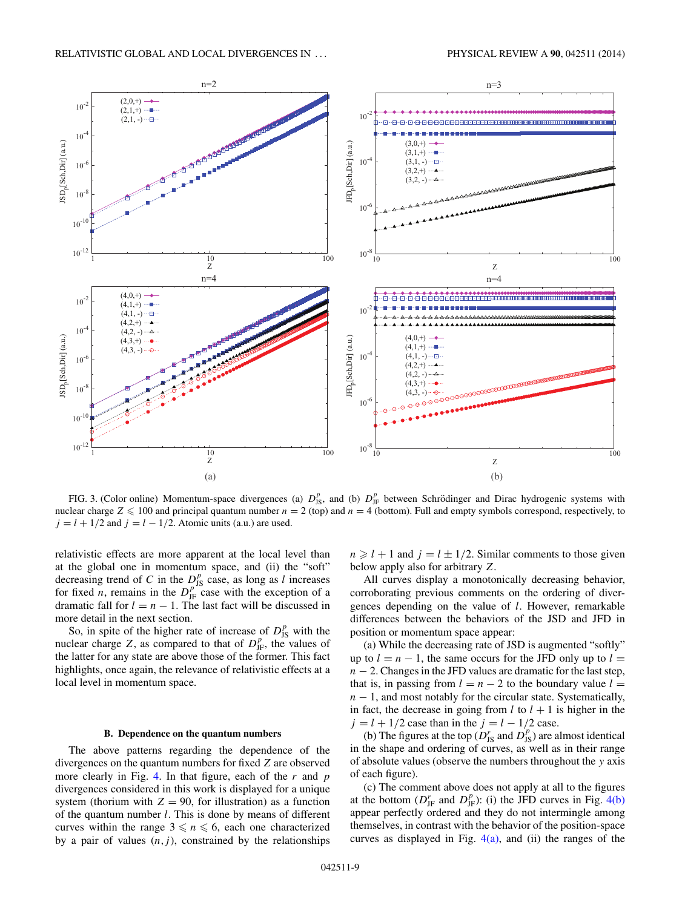<span id="page-8-0"></span>

FIG. 3. (Color online) Momentum-space divergences (a)  $D_{\text{JS}}^p$ , and (b)  $D_{\text{JF}}^p$  between Schrödinger and Dirac hydrogenic systems with nuclear charge  $Z \leq 100$  and principal quantum number  $n = 2$  (top) and  $n = 4$  (bottom). Full and empty symbols correspond, respectively, to  $j = l + 1/2$  and  $j = l - 1/2$ . Atomic units (a.u.) are used.

relativistic effects are more apparent at the local level than at the global one in momentum space, and (ii) the "soft" decreasing trend of *C* in the  $D_{\text{JS}}^p$  case, as long as *l* increases for fixed *n*, remains in the  $D_F^{p}$  case with the exception of a dramatic fall for  $l = n - 1$ . The last fact will be discussed in more detail in the next section.

So, in spite of the higher rate of increase of  $D_{\text{JS}}^p$  with the nuclear charge *Z*, as compared to that of  $D_{\text{JF}}^p$ , the values of the latter for any state are above those of the former. This fact highlights, once again, the relevance of relativistic effects at a local level in momentum space.

## **B. Dependence on the quantum numbers**

The above patterns regarding the dependence of the divergences on the quantum numbers for fixed *Z* are observed more clearly in Fig. [4.](#page-9-0) In that figure, each of the *r* and *p* divergences considered in this work is displayed for a unique system (thorium with  $Z = 90$ , for illustration) as a function of the quantum number *l*. This is done by means of different curves within the range  $3 \le n \le 6$ , each one characterized by a pair of values  $(n, j)$ , constrained by the relationships

 $n \ge l + 1$  and  $j = l \pm 1/2$ . Similar comments to those given below apply also for arbitrary *Z*.

All curves display a monotonically decreasing behavior, corroborating previous comments on the ordering of divergences depending on the value of *l*. However, remarkable differences between the behaviors of the JSD and JFD in position or momentum space appear:

(a) While the decreasing rate of JSD is augmented "softly" up to  $l = n - 1$ , the same occurs for the JFD only up to  $l =$ *n* − 2. Changes in the JFD values are dramatic for the last step, that is, in passing from  $l = n - 2$  to the boundary value  $l =$  $n - 1$ , and most notably for the circular state. Systematically, in fact, the decrease in going from  $l$  to  $l + 1$  is higher in the  $j = l + 1/2$  case than in the  $j = l - 1/2$  case.

(b) The figures at the top ( $D_{\text{JS}}^r$  and  $D_{\text{JS}}^p$ ) are almost identical in the shape and ordering of curves, as well as in their range of absolute values (observe the numbers throughout the *y* axis of each figure).

(c) The comment above does not apply at all to the figures at the bottom  $(D_{\text{JF}}^r$  and  $D_{\text{JF}}^p$ ): (i) the JFD curves in Fig. [4\(b\)](#page-9-0) appear perfectly ordered and they do not intermingle among themselves, in contrast with the behavior of the position-space curves as displayed in Fig.  $4(a)$ , and (ii) the ranges of the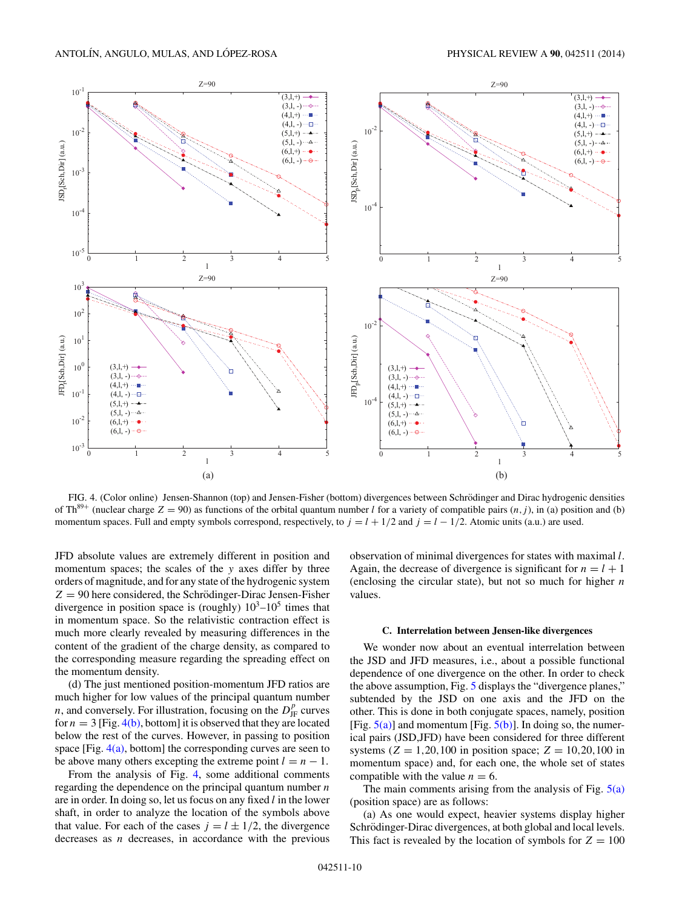<span id="page-9-0"></span>

FIG. 4. (Color online) Jensen-Shannon (top) and Jensen-Fisher (bottom) divergences between Schrödinger and Dirac hydrogenic densities of Th<sup>89+</sup> (nuclear charge  $Z = 90$ ) as functions of the orbital quantum number *l* for a variety of compatible pairs  $(n, j)$ , in (a) position and (b) momentum spaces. Full and empty symbols correspond, respectively, to  $j = l + 1/2$  and  $j = l - 1/2$ . Atomic units (a.u.) are used.

JFD absolute values are extremely different in position and momentum spaces; the scales of the *y* axes differ by three orders of magnitude, and for any state of the hydrogenic system  $Z = 90$  here considered, the Schrödinger-Dirac Jensen-Fisher divergence in position space is (roughly)  $10^3$ – $10^5$  times that in momentum space. So the relativistic contraction effect is much more clearly revealed by measuring differences in the content of the gradient of the charge density, as compared to the corresponding measure regarding the spreading effect on the momentum density.

(d) The just mentioned position-momentum JFD ratios are much higher for low values of the principal quantum number *n*, and conversely. For illustration, focusing on the  $D_F^p$  curves for  $n = 3$  [Fig. 4(b), bottom] it is observed that they are located below the rest of the curves. However, in passing to position space [Fig.  $4(a)$ , bottom] the corresponding curves are seen to be above many others excepting the extreme point  $l = n - 1$ .

From the analysis of Fig. 4, some additional comments regarding the dependence on the principal quantum number *n* are in order. In doing so, let us focus on any fixed *l* in the lower shaft, in order to analyze the location of the symbols above that value. For each of the cases  $j = l \pm 1/2$ , the divergence decreases as *n* decreases, in accordance with the previous

observation of minimal divergences for states with maximal *l*. Again, the decrease of divergence is significant for  $n = l + 1$ (enclosing the circular state), but not so much for higher *n* values.

#### **C. Interrelation between Jensen-like divergences**

We wonder now about an eventual interrelation between the JSD and JFD measures, i.e., about a possible functional dependence of one divergence on the other. In order to check the above assumption, Fig. [5](#page-10-0) displays the "divergence planes," subtended by the JSD on one axis and the JFD on the other. This is done in both conjugate spaces, namely, position [Fig.  $5(a)$ ] and momentum [Fig.  $5(b)$ ]. In doing so, the numerical pairs (JSD,JFD) have been considered for three different systems  $(Z = 1,20,100$  in position space;  $Z = 10,20,100$  in momentum space) and, for each one, the whole set of states compatible with the value  $n = 6$ .

The main comments arising from the analysis of Fig.  $5(a)$ (position space) are as follows:

(a) As one would expect, heavier systems display higher Schrödinger-Dirac divergences, at both global and local levels. This fact is revealed by the location of symbols for  $Z = 100$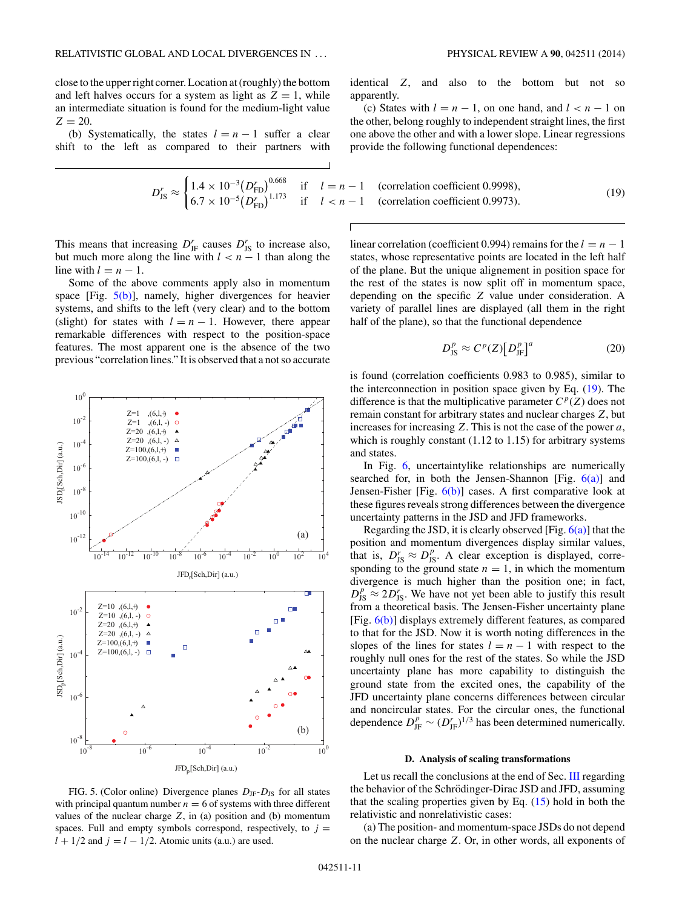<span id="page-10-0"></span>close to the upper right corner. Location at (roughly) the bottom and left halves occurs for a system as light as  $Z = 1$ , while an intermediate situation is found for the medium-light value  $Z = 20$ .

(b) Systematically, the states  $l = n - 1$  suffer a clear shift to the left as compared to their partners with

$$
D_{\text{JS}}^r \approx \begin{cases} 1.4 \times 10^{-3} (D_{\text{FD}}^r)^{0.668} & \text{if} \quad l = n - 1 \quad \text{(correlation coefficient 0.9998)},\\ 6.7 \times 10^{-5} (D_{\text{FD}}^r)^{1.173} & \text{if} \quad l < n - 1 \quad \text{(correlation coefficient 0.9973)}. \end{cases} \tag{19}
$$

This means that increasing  $D_{\text{JF}}^r$  causes  $D_{\text{JS}}^r$  to increase also, but much more along the line with  $l < n - 1$  than along the line with  $l = n - 1$ .

Some of the above comments apply also in momentum space [Fig.  $5(b)$ ], namely, higher divergences for heavier systems, and shifts to the left (very clear) and to the bottom (slight) for states with  $l = n - 1$ . However, there appear remarkable differences with respect to the position-space features. The most apparent one is the absence of the two previous "correlation lines." It is observed that a not so accurate



FIG. 5. (Color online) Divergence planes  $D_{\text{JF}}$ - $D_{\text{JS}}$  for all states with principal quantum number  $n = 6$  of systems with three different values of the nuclear charge *Z*, in (a) position and (b) momentum spaces. Full and empty symbols correspond, respectively, to  $j =$  $l + 1/2$  and  $j = l - 1/2$ . Atomic units (a.u.) are used.

identical *Z*, and also to the bottom but not so apparently.

(c) States with  $l = n - 1$ , on one hand, and  $l < n - 1$  on the other, belong roughly to independent straight lines, the first one above the other and with a lower slope. Linear regressions provide the following functional dependences:

linear correlation (coefficient 0.994) remains for the  $l = n - 1$ states, whose representative points are located in the left half of the plane. But the unique alignement in position space for the rest of the states is now split off in momentum space, depending on the specific *Z* value under consideration. A variety of parallel lines are displayed (all them in the right half of the plane), so that the functional dependence

$$
D_{\rm JS}^p \approx C^p(Z) \big[D_{\rm JF}^p\big]^a \tag{20}
$$

is found (correlation coefficients 0.983 to 0.985), similar to the interconnection in position space given by Eq. (19). The difference is that the multiplicative parameter  $C^p(Z)$  does not remain constant for arbitrary states and nuclear charges *Z*, but increases for increasing *Z*. This is not the case of the power *a*, which is roughly constant  $(1.12 \text{ to } 1.15)$  for arbitrary systems and states.

In Fig. [6,](#page-11-0) uncertaintylike relationships are numerically searched for, in both the Jensen-Shannon [Fig.  $6(a)$ ] and Jensen-Fisher [Fig. [6\(b\)\]](#page-11-0) cases. A first comparative look at these figures reveals strong differences between the divergence uncertainty patterns in the JSD and JFD frameworks.

Regarding the JSD, it is clearly observed [Fig.  $6(a)$ ] that the position and momentum divergences display similar values, that is,  $D_{\text{JS}}^r \approx D_{\text{JS}}^p$ . A clear exception is displayed, corresponding to the ground state  $n = 1$ , in which the momentum divergence is much higher than the position one; in fact,  $D_{\text{JS}}^p \approx 2D_{\text{JS}}^r$ . We have not yet been able to justify this result from a theoretical basis. The Jensen-Fisher uncertainty plane [Fig. [6\(b\)\]](#page-11-0) displays extremely different features, as compared to that for the JSD. Now it is worth noting differences in the slopes of the lines for states  $l = n - 1$  with respect to the roughly null ones for the rest of the states. So while the JSD uncertainty plane has more capability to distinguish the ground state from the excited ones, the capability of the JFD uncertainty plane concerns differences between circular and noncircular states. For the circular ones, the functional dependence  $D_{\text{JF}}^p \sim (D_{\text{JF}}^r)^{1/3}$  has been determined numerically.

### **D. Analysis of scaling transformations**

Let us recall the conclusions at the end of Sec. [III](#page-2-0) regarding the behavior of the Schrödinger-Dirac JSD and JFD, assuming that the scaling properties given by Eq.  $(15)$  hold in both the relativistic and nonrelativistic cases:

(a) The position- and momentum-space JSDs do not depend on the nuclear charge *Z*. Or, in other words, all exponents of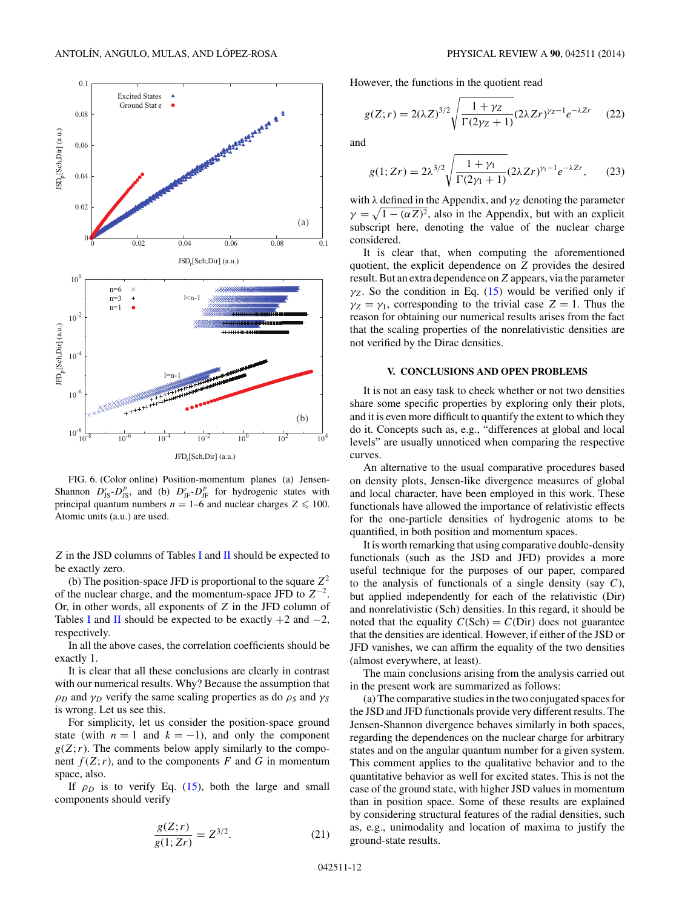<span id="page-11-0"></span>

FIG. 6. (Color online) Position-momentum planes (a) Jensen-Shannon  $D'_{\text{JS}}$ - $D_{\text{JS}}^p$ , and (b)  $D'_{\text{IF}}$ - $D_{\text{IF}}^p$  for hydrogenic states with principal quantum numbers  $n = 1-6$  and nuclear charges  $Z \leq 100$ . Atomic units (a.u.) are used.

*Z* in the JSD columns of Tables [I](#page-5-0) and [II](#page-6-0) should be expected to be exactly zero.

(b) The position-space JFD is proportional to the square *Z*<sup>2</sup> of the nuclear charge, and the momentum-space JFD to *Z*<sup>−</sup>2. Or, in other words, all exponents of *Z* in the JFD column of Tables [I](#page-5-0) and [II](#page-6-0) should be expected to be exactly  $+2$  and  $-2$ , respectively.

In all the above cases, the correlation coefficients should be exactly 1.

It is clear that all these conclusions are clearly in contrast with our numerical results. Why? Because the assumption that  $\rho_D$  and  $\gamma_D$  verify the same scaling properties as do  $\rho_S$  and  $\gamma_S$ is wrong. Let us see this.

For simplicity, let us consider the position-space ground state (with  $n = 1$  and  $k = -1$ ), and only the component  $g(Z; r)$ . The comments below apply similarly to the component  $f(Z; r)$ , and to the components  $F$  and  $G$  in momentum space, also.

If  $\rho_D$  is to verify Eq. [\(15\)](#page-3-0), both the large and small components should verify

$$
\frac{g(Z;r)}{g(1;Zr)} = Z^{3/2}.
$$
 (21)

However, the functions in the quotient read

$$
g(Z;r) = 2(\lambda Z)^{3/2} \sqrt{\frac{1+\gamma_Z}{\Gamma(2\gamma_Z+1)}} (2\lambda Zr)^{\gamma_Z-1} e^{-\lambda Zr}
$$
 (22)

and

$$
g(1;Zr) = 2\lambda^{3/2} \sqrt{\frac{1+\gamma_1}{\Gamma(2\gamma_1+1)}} (2\lambda Zr)^{\gamma_1-1} e^{-\lambda Zr}, \qquad (23)
$$

with  $\lambda$  defined in the Appendix, and  $\gamma$ <sub>Z</sub> denoting the parameter  $\gamma = \sqrt{1 - (\alpha Z)^2}$ , also in the Appendix, but with an explicit subscript here, denoting the value of the nuclear charge considered.

It is clear that, when computing the aforementioned quotient, the explicit dependence on *Z* provides the desired result. But an extra dependence on*Z* appears, via the parameter  $\gamma$ z. So the condition in Eq. [\(15\)](#page-3-0) would be verified only if  $\gamma_Z = \gamma_1$ , corresponding to the trivial case  $Z = 1$ . Thus the reason for obtaining our numerical results arises from the fact that the scaling properties of the nonrelativistic densities are not verified by the Dirac densities.

#### **V. CONCLUSIONS AND OPEN PROBLEMS**

It is not an easy task to check whether or not two densities share some specific properties by exploring only their plots, and it is even more difficult to quantify the extent to which they do it. Concepts such as, e.g., "differences at global and local levels" are usually unnoticed when comparing the respective curves.

An alternative to the usual comparative procedures based on density plots, Jensen-like divergence measures of global and local character, have been employed in this work. These functionals have allowed the importance of relativistic effects for the one-particle densities of hydrogenic atoms to be quantified, in both position and momentum spaces.

It is worth remarking that using comparative double-density functionals (such as the JSD and JFD) provides a more useful technique for the purposes of our paper, compared to the analysis of functionals of a single density (say *C*), but applied independently for each of the relativistic (Dir) and nonrelativistic (Sch) densities. In this regard, it should be noted that the equality  $C(Sch) = C(Dir)$  does not guarantee that the densities are identical. However, if either of the JSD or JFD vanishes, we can affirm the equality of the two densities (almost everywhere, at least).

The main conclusions arising from the analysis carried out in the present work are summarized as follows:

(a) The comparative studies in the two conjugated spaces for the JSD and JFD functionals provide very different results. The Jensen-Shannon divergence behaves similarly in both spaces, regarding the dependences on the nuclear charge for arbitrary states and on the angular quantum number for a given system. This comment applies to the qualitative behavior and to the quantitative behavior as well for excited states. This is not the case of the ground state, with higher JSD values in momentum than in position space. Some of these results are explained by considering structural features of the radial densities, such as, e.g., unimodality and location of maxima to justify the ground-state results.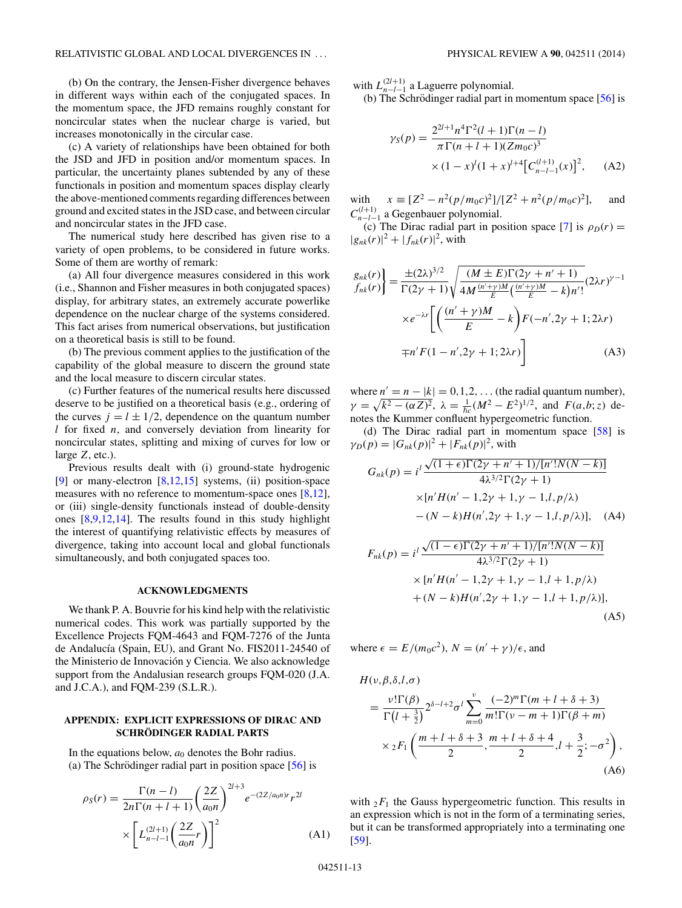(b) On the contrary, the Jensen-Fisher divergence behaves in different ways within each of the conjugated spaces. In the momentum space, the JFD remains roughly constant for noncircular states when the nuclear charge is varied, but increases monotonically in the circular case.

(c) A variety of relationships have been obtained for both the JSD and JFD in position and/or momentum spaces. In particular, the uncertainty planes subtended by any of these functionals in position and momentum spaces display clearly the above-mentioned comments regarding differences between ground and excited states in the JSD case, and between circular and noncircular states in the JFD case.

The numerical study here described has given rise to a variety of open problems, to be considered in future works. Some of them are worthy of remark:

(a) All four divergence measures considered in this work (i.e., Shannon and Fisher measures in both conjugated spaces) display, for arbitrary states, an extremely accurate powerlike dependence on the nuclear charge of the systems considered. This fact arises from numerical observations, but justification on a theoretical basis is still to be found.

(b) The previous comment applies to the justification of the capability of the global measure to discern the ground state and the local measure to discern circular states.

(c) Further features of the numerical results here discussed deserve to be justified on a theoretical basis (e.g., ordering of the curves  $j = l \pm 1/2$ , dependence on the quantum number *l* for fixed *n*, and conversely deviation from linearity for noncircular states, splitting and mixing of curves for low or large *Z*, etc.).

Previous results dealt with (i) ground-state hydrogenic [\[9\]](#page-13-0) or many-electron [\[8,12,15\]](#page-13-0) systems, (ii) position-space measures with no reference to momentum-space ones [\[8,12\]](#page-13-0), or (iii) single-density functionals instead of double-density ones [\[8,9,12,14\]](#page-13-0). The results found in this study highlight the interest of quantifying relativistic effects by measures of divergence, taking into account local and global functionals simultaneously, and both conjugated spaces too.

## **ACKNOWLEDGMENTS**

We thank P. A. Bouvrie for his kind help with the relativistic numerical codes. This work was partially supported by the Excellence Projects FQM-4643 and FQM-7276 of the Junta de Andalucía (Spain, EU), and Grant No. FIS2011-24540 of the Ministerio de Innovación y Ciencia. We also acknowledge support from the Andalusian research groups FQM-020 (J.A. and J.C.A.), and FQM-239 (S.L.R.).

# **APPENDIX: EXPLICIT EXPRESSIONS OF DIRAC AND SCHRODINGER RADIAL PARTS ¨**

In the equations below,  $a_0$  denotes the Bohr radius. (a) The Schrödinger radial part in position space  $[56]$  $[56]$  is

$$
\rho_S(r) = \frac{\Gamma(n-l)}{2n\Gamma(n+l+1)} \left(\frac{2Z}{a_0n}\right)^{2l+3} e^{-(2Z/a_0n)r} r^{2l}
$$

$$
\times \left[L_{n-l-1}^{(2l+1)} \left(\frac{2Z}{a_0n}r\right)\right]^2 \tag{A1}
$$

with  $L_{n-l-1}^{(2l+1)}$  a Laguerre polynomial.

(b) The Schrödinger radial part in momentum space  $[56]$  $[56]$  is

$$
\gamma_S(p) = \frac{2^{2l+1} n^4 \Gamma^2 (l+1) \Gamma(n-l)}{\pi \Gamma(n+l+1) (Zm_0 c)^3} \times (1-x)^l (1+x)^{l+4} \left[ C_{n-l-1}^{(l+1)}(x) \right]^2, \quad (A2)
$$

with  $x \equiv [Z^2 - n^2(p/m_0c)^2]/[Z^2 + n^2(p/m_0c)^2]$ , and  $C_{n-l-1}^{(l+1)}$  a Gegenbauer polynomial.

(c) The Dirac radial part in position space [\[7\]](#page-13-0) is  $\rho_D(r)$  =  $|g_{nk}(r)|^2 + |f_{nk}(r)|^2$ , with

$$
\begin{aligned}\n\mathcal{g}_{nk}(r) \\
\frac{f_{nk}(r)}{\Gamma(2\gamma+1)} \frac{\pm (2\lambda)^{3/2}}{\Gamma(2\gamma+1)} \sqrt{\frac{(M \pm E)\Gamma(2\gamma+n'+1)}{4M \frac{(n'+\gamma)M}{E} \left(\frac{(n'+\gamma)M}{E} - k\right)n'!}} (2\lambda r)^{\gamma-1} \\
\times e^{-\lambda r} \left[ \left(\frac{(n'+\gamma)M}{E} - k\right) F(-n', 2\gamma+1; 2\lambda r) \\
\mp n' F(1-n', 2\gamma+1; 2\lambda r) \right]\n\end{aligned}
$$
\n(A3)

where  $n' = n - |k| = 0, 1, 2, \ldots$  (the radial quantum number),  $\gamma = \sqrt{k^2 - (\alpha Z)^2}$ ,  $\lambda = \frac{1}{\hbar c} (M^2 - E^2)^{1/2}$ , and  $F(a, b; z)$  denotes the Kummer confluent hypergeometric function.

(d) The Dirac radial part in momentum space [\[58\]](#page-13-0) is  $\gamma_D(p) = |G_{nk}(p)|^2 + |F_{nk}(p)|^2$ , with

$$
G_{nk}(p) = i^{l} \frac{\sqrt{(1+\epsilon)\Gamma(2\gamma + n' + 1)/[n'!N(N-k)]}}{4\lambda^{3/2}\Gamma(2\gamma + 1)} \times [n'H(n'-1,2\gamma+1,\gamma-1,l,p/\lambda) - (N-k)H(n',2\gamma+1,\gamma-1,l,p/\lambda)], \quad (A4)
$$

$$
F_{nk}(p) = i^l \frac{\sqrt{(1 - \epsilon)\Gamma(2\gamma + n' + 1)/[n'!N(N - k)]}}{4\lambda^{3/2}\Gamma(2\gamma + 1)} \times [n'H(n' - 1, 2\gamma + 1, \gamma - 1, l + 1, p/\lambda) + (N - k)H(n', 2\gamma + 1, \gamma - 1, l + 1, p/\lambda)],
$$
\n(A5)

where  $\epsilon = E/(m_0 c^2)$ ,  $N = (n' + \gamma)/\epsilon$ , and

$$
H(\nu,\beta,\delta,l,\sigma) = \frac{\nu!\Gamma(\beta)}{\Gamma(l+\frac{3}{2})} 2^{\delta-l+2} \sigma^l \sum_{m=0}^{\nu} \frac{(-2)^m \Gamma(m+l+\delta+3)}{m!\Gamma(\nu-m+1)\Gamma(\beta+m)} \times {}_2F_1\left(\frac{m+l+\delta+3}{2}, \frac{m+l+\delta+4}{2}, l+\frac{3}{2}; -\sigma^2\right),
$$
\n(A6)

with  ${}_2F_1$  the Gauss hypergeometric function. This results in an expression which is not in the form of a terminating series, but it can be transformed appropriately into a terminating one [\[59\]](#page-13-0).